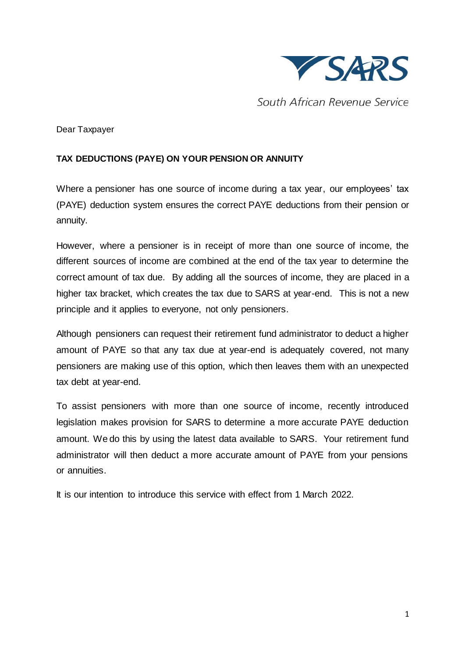

South African Revenue Service

Dear Taxpayer

## **TAX DEDUCTIONS (PAYE) ON YOUR PENSION OR ANNUITY**

Where a pensioner has one source of income during a tax year, our employees' tax (PAYE) deduction system ensures the correct PAYE deductions from their pension or annuity.

However, where a pensioner is in receipt of more than one source of income, the different sources of income are combined at the end of the tax year to determine the correct amount of tax due. By adding all the sources of income, they are placed in a higher tax bracket, which creates the tax due to SARS at year-end. This is not a new principle and it applies to everyone, not only pensioners.

Although pensioners can request their retirement fund administrator to deduct a higher amount of PAYE so that any tax due at year-end is adequately covered, not many pensioners are making use of this option, which then leaves them with an unexpected tax debt at year-end.

To assist pensioners with more than one source of income, recently introduced legislation makes provision for SARS to determine a more accurate PAYE deduction amount. We do this by using the latest data available to SARS. Your retirement fund administrator will then deduct a more accurate amount of PAYE from your pensions or annuities.

It is our intention to introduce this service with effect from 1 March 2022.